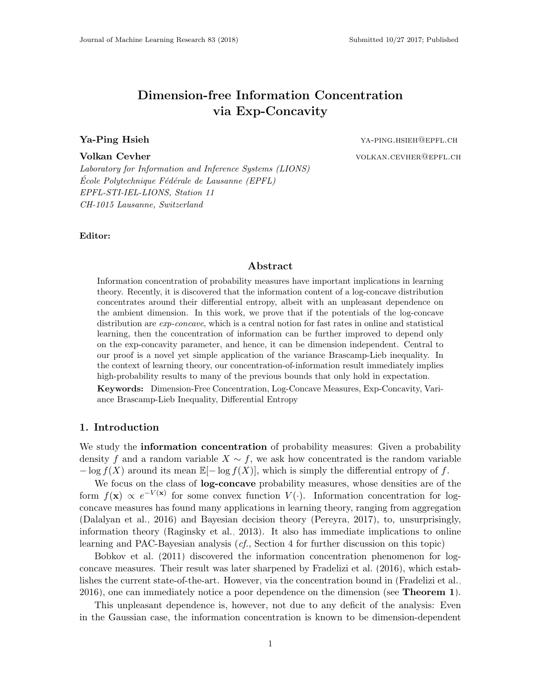# Dimension-free Information Concentration via Exp-Concavity

**Ya-Ping Hsieh Wa-Ping Hsieh State State Community Control of the Community Community Community Community Community Community Community Community Community Community Community Community Community Community Community Commun** Volkan Cevher volkan.cevher volkan.cevher

Laboratory for Information and Inference Systems (LIONS)  $\emph{Ecole Polytechnique Fédérale de Lausanne (EPFL)}$ EPFL-STI-IEL-LIONS, Station 11 CH-1015 Lausanne, Switzerland

Editor:

### Abstract

Information concentration of probability measures have important implications in learning theory. Recently, it is discovered that the information content of a log-concave distribution concentrates around their differential entropy, albeit with an unpleasant dependence on the ambient dimension. In this work, we prove that if the potentials of the log-concave distribution are *exp-concave*, which is a central notion for fast rates in online and statistical learning, then the concentration of information can be further improved to depend only on the exp-concavity parameter, and hence, it can be dimension independent. Central to our proof is a novel yet simple application of the variance Brascamp-Lieb inequality. In the context of learning theory, our concentration-of-information result immediately implies high-probability results to many of the previous bounds that only hold in expectation.

Keywords: Dimension-Free Concentration, Log-Concave Measures, Exp-Concavity, Variance Brascamp-Lieb Inequality, Differential Entropy

# 1. Introduction

We study the **information concentration** of probability measures: Given a probability density f and a random variable  $X \sim f$ , we ask how concentrated is the random variable  $-\log f(X)$  around its mean  $\mathbb{E}[-\log f(X)]$ , which is simply the differential entropy of f.

We focus on the class of **log-concave** probability measures, whose densities are of the form  $f(\mathbf{x}) \propto e^{-V(\mathbf{x})}$  for some convex function  $V(\cdot)$ . Information concentration for logconcave measures has found many applications in learning theory, ranging from aggregation [\(Dalalyan et al., 2016\)](#page-9-0) and Bayesian decision theory [\(Pereyra, 2017\)](#page-10-0), to, unsurprisingly, information theory [\(Raginsky et al., 2013\)](#page-10-1). It also has immediate implications to online learning and PAC-Bayesian analysis (cf., Section 4 for further discussion on this topic)

[Bobkov et al.](#page-9-1) [\(2011\)](#page-9-1) discovered the information concentration phenomenon for logconcave measures. Their result was later sharpened by [Fradelizi et al.](#page-9-2) [\(2016\)](#page-9-2), which establishes the current state-of-the-art. However, via the concentration bound in [\(Fradelizi et al.,](#page-9-2) [2016\)](#page-9-2), one can immediately notice a poor dependence on the dimension (see **Theorem [1](#page-2-0)**).

This unpleasant dependence is, however, not due to any deficit of the analysis: Even in the Gaussian case, the information concentration is known to be dimension-dependent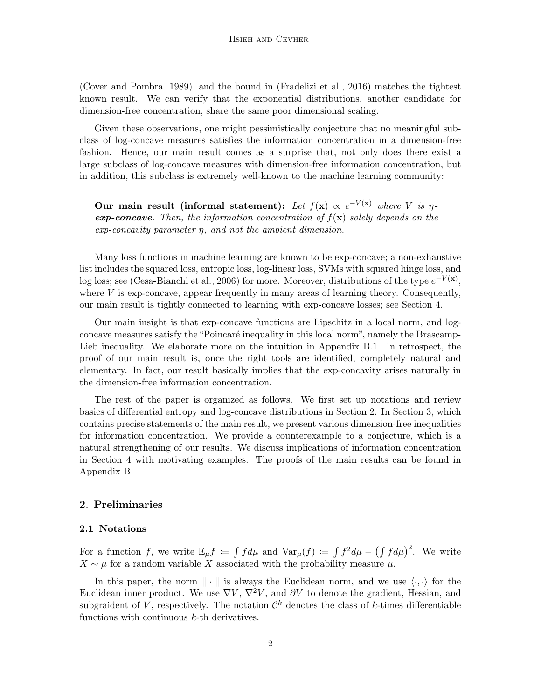[\(Cover and Pombra, 1989\)](#page-9-3), and the bound in [\(Fradelizi et al., 2016\)](#page-9-2) matches the tightest known result. We can verify that the exponential distributions, another candidate for dimension-free concentration, share the same poor dimensional scaling.

Given these observations, one might pessimistically conjecture that no meaningful subclass of log-concave measures satisfies the information concentration in a dimension-free fashion. Hence, our main result comes as a surprise that, not only does there exist a large subclass of log-concave measures with dimension-free information concentration, but in addition, this subclass is extremely well-known to the machine learning community:

Our main result (informal statement): Let  $f(\mathbf{x}) \propto e^{-V(\mathbf{x})}$  where V is  $\eta$ **exp-concave.** Then, the information concentration of  $f(\mathbf{x})$  solely depends on the  $exp\text{-}concavity$  parameter  $\eta$ , and not the ambient dimension.

Many loss functions in machine learning are known to be exp-concave; a non-exhaustive list includes the squared loss, entropic loss, log-linear loss, SVMs with squared hinge loss, and log loss; see [\(Cesa-Bianchi et al., 2006\)](#page-9-4) for more. Moreover, distributions of the type  $e^{-V(x)}$ , where  $V$  is exp-concave, appear frequently in many areas of learning theory. Consequently, our main result is tightly connected to learning with exp-concave losses; see Section 4.

Our main insight is that exp-concave functions are Lipschitz in a local norm, and logconcave measures satisfy the "Poincaré inequality in this local norm", namely the Brascamp-Lieb inequality. We elaborate more on the intuition in Appendix [B.1.](#page-1-0) In retrospect, the proof of our main result is, once the right tools are identified, completely natural and elementary. In fact, our result basically implies that the exp-concavity arises naturally in the dimension-free information concentration.

The rest of the paper is organized as follows. We first set up notations and review basics of differential entropy and log-concave distributions in Section 2. In Section 3, which contains precise statements of the main result, we present various dimension-free inequalities for information concentration. We provide a counterexample to a conjecture, which is a natural strengthening of our results. We discuss implications of information concentration in Section 4 with motivating examples. The proofs of the main results can be found in Appendix [B.](#page-1-1)

# <span id="page-1-1"></span>2. Preliminaries

# <span id="page-1-0"></span>2.1 Notations

For a function f, we write  $\mathbb{E}_{\mu}f := \int f d\mu$  and  $\text{Var}_{\mu}(f) := \int f^2 d\mu - \left(\int f d\mu\right)^2$ . We write  $X \sim \mu$  for a random variable X associated with the probability measure  $\mu$ .

In this paper, the norm  $\|\cdot\|$  is always the Euclidean norm, and we use  $\langle \cdot, \cdot \rangle$  for the Euclidean inner product. We use  $\nabla V$ ,  $\nabla^2 V$ , and  $\partial V$  to denote the gradient, Hessian, and subgraident of V, respectively. The notation  $\mathcal{C}^k$  denotes the class of k-times differentiable functions with continuous  $k$ -th derivatives.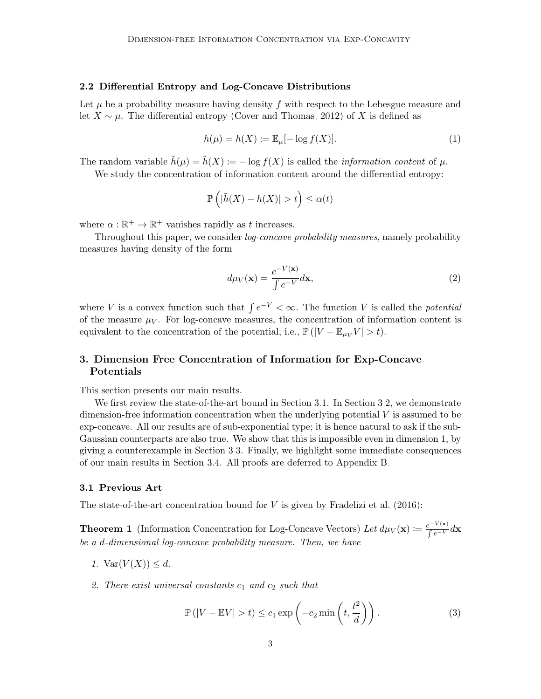### 2.2 Differential Entropy and Log-Concave Distributions

Let  $\mu$  be a probability measure having density f with respect to the Lebesgue measure and let  $X \sim \mu$ . The differential entropy [\(Cover and Thomas, 2012\)](#page-9-5) of X is defined as

$$
h(\mu) = h(X) := \mathbb{E}_{\mu}[-\log f(X)].
$$
\n(1)

The random variable  $\tilde{h}(\mu) = \tilde{h}(X) := -\log f(X)$  is called the *information content* of  $\mu$ .

We study the concentration of information content around the differential entropy:

$$
\mathbb{P}\left(|\tilde{h}(X) - h(X)| > t\right) \le \alpha(t)
$$

where  $\alpha : \mathbb{R}^+ \to \mathbb{R}^+$  vanishes rapidly as t increases.

Throughout this paper, we consider log-concave probability measures, namely probability measures having density of the form

$$
d\mu_V(\mathbf{x}) = \frac{e^{-V(\mathbf{x})}}{\int e^{-V}} d\mathbf{x},\tag{2}
$$

where V is a convex function such that  $\int e^{-V} < \infty$ . The function V is called the *potential* of the measure  $\mu_V$ . For log-concave measures, the concentration of information content is equivalent to the concentration of the potential, i.e.,  $\mathbb{P}(|V - \mathbb{E}_{\mu_V} V| > t)$ .

# <span id="page-2-1"></span>3. Dimension Free Concentration of Information for Exp-Concave Potentials

This section presents our main results.

We first review the state-of-the-art bound in Section [3.](#page-2-1)1. In Section [3.](#page-2-1)2, we demonstrate dimension-free information concentration when the underlying potential  $V$  is assumed to be exp-concave. All our results are of sub-exponential type; it is hence natural to ask if the sub-Gaussian counterparts are also true. We show that this is impossible even in dimension 1, by giving a counterexample in Section [3.](#page-2-1)3. Finally, we highlight some immediate consequences of our main results in Section [3.](#page-2-1)4. All proofs are deferred to Appendix [B.](#page-1-1)

#### 3.1 Previous Art

The state-of-the-art concentration bound for  $V$  is given by [Fradelizi et al.](#page-9-2) [\(2016\)](#page-9-2):

**Theorem 1** (Information Concentration for Log-Concave Vectors) Let  $d\mu_V(\mathbf{x}) \coloneqq \frac{e^{-V(\mathbf{x})}}{ \int e^{-V} d\mathbf{x}}$ be a d-dimensional log-concave probability measure. Then, we have

- 1.  $\text{Var}(V(X)) \leq d$ .
- 2. There exist universal constants  $c_1$  and  $c_2$  such that

<span id="page-2-2"></span><span id="page-2-0"></span>
$$
\mathbb{P}(|V - \mathbb{E}V| > t) \le c_1 \exp\left(-c_2 \min\left(t, \frac{t^2}{d}\right)\right). \tag{3}
$$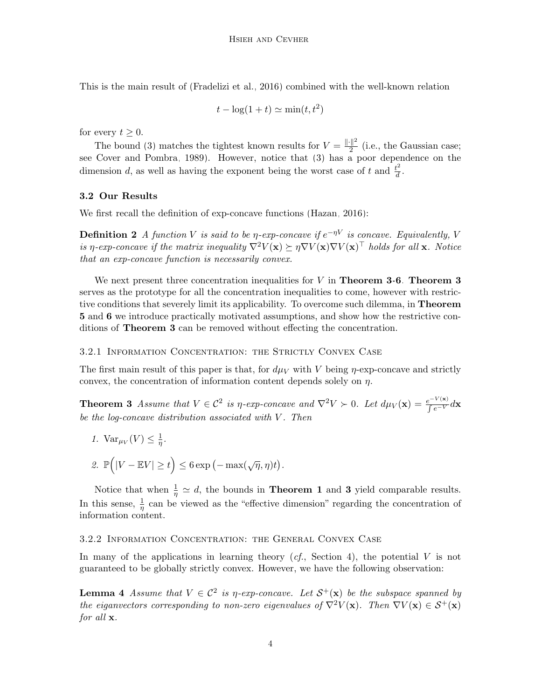This is the main result of [\(Fradelizi et al., 2016\)](#page-9-2) combined with the well-known relation

$$
t - \log(1 + t) \simeq \min(t, t^2)
$$

for every  $t > 0$ .

The bound [\(3\)](#page-2-2) matches the tightest known results for  $V = \frac{\|\cdot\|^2}{2}$  $\frac{2}{2}$  (i.e., the Gaussian case; see [Cover and Pombra, 1989\)](#page-9-3). However, notice that [\(3\)](#page-2-2) has a poor dependence on the dimension d, as well as having the exponent being the worst case of t and  $\frac{t^2}{d}$  $\frac{t^2}{d}$ .

# 3.2 Our Results

We first recall the definition of exp-concave functions [\(Hazan, 2016\)](#page-10-2):

**Definition 2** A function V is said to be *η*-exp-concave if  $e^{-\eta V}$  is concave. Equivalently, V is η-exp-concave if the matrix inequality  $\nabla^2 V(\mathbf{x}) \succeq \eta \nabla V(\mathbf{x}) \nabla V(\mathbf{x})^\top$  holds for all **x**. Notice that an exp-concave function is necessarily convex.

We next present three concentration inequalities for  $V$  in **Theorem [3-](#page-3-0)[6](#page-4-0). Theorem [3](#page-3-0)** serves as the prototype for all the concentration inequalities to come, however with restrictive conditions that severely limit its applicability. To overcome such dilemma, in Theorem [5](#page-4-1) and [6](#page-4-0) we introduce practically motivated assumptions, and show how the restrictive conditions of Theorem [3](#page-3-0) can be removed without effecting the concentration.

#### 3.2.1 Information Concentration: the Strictly Convex Case

The first main result of this paper is that, for  $d\mu_V$  with V being  $\eta$ -exp-concave and strictly convex, the concentration of information content depends solely on  $\eta$ .

**Theorem 3** Assume that  $V \in C^2$  is  $\eta$ -exp-concave and  $\nabla^2 V > 0$ . Let  $d\mu_V(\mathbf{x}) = \frac{e^{-V(\mathbf{x})}}{\int e^{-V}} d\mathbf{x}$ be the log-concave distribution associated with  $V$ . Then

<span id="page-3-0"></span>1.  $\text{Var}_{\mu_V}(V) \leq \frac{1}{\eta}$  $\frac{1}{\eta}$  . 2.  $\mathbb{P}\left(|V - \mathbb{E}V| \geq t\right) \leq 6 \exp\left(-\max(\sqrt{\eta}, \eta)t\right).$ 

Notice that when  $\frac{1}{\eta} \simeq d$ , the bounds in **Theorem [1](#page-2-0)** and [3](#page-3-0) yield comparable results. In this sense,  $\frac{1}{\eta}$  can be viewed as the "effective dimension" regarding the concentration of information content.

# 3.2.2 Information Concentration: the General Convex Case

In many of the applications in learning theory  $(cf,$  Section 4), the potential V is not guaranteed to be globally strictly convex. However, we have the following observation:

<span id="page-3-1"></span>**Lemma 4** Assume that  $V \in C^2$  is  $\eta$ -exp-concave. Let  $S^+(\mathbf{x})$  be the subspace spanned by the eiganvectors corresponding to non-zero eigenvalues of  $\nabla^2 V(\mathbf{x})$ . Then  $\nabla V(\mathbf{x}) \in \mathcal{S}^+(\mathbf{x})$ for all **x**.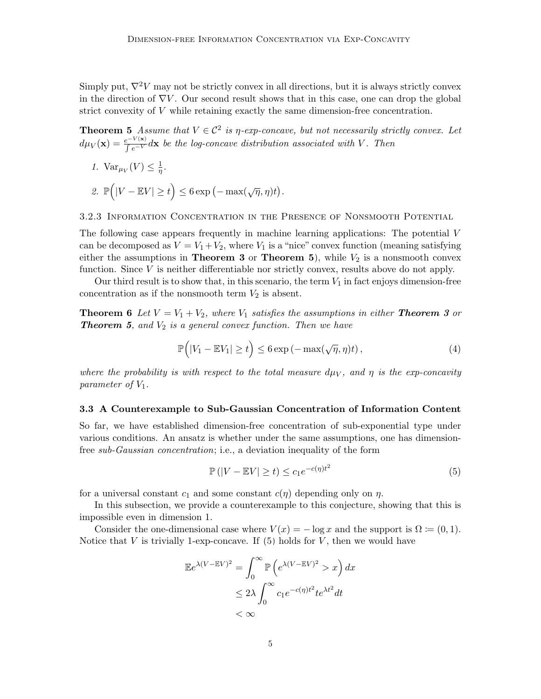Simply put,  $\nabla^2 V$  may not be strictly convex in all directions, but it is always strictly convex in the direction of  $\nabla V$ . Our second result shows that in this case, one can drop the global strict convexity of V while retaining exactly the same dimension-free concentration.

**Theorem 5** Assume that  $V \in \mathcal{C}^2$  is  $\eta$ -exp-concave, but not necessarily strictly convex. Let  $d\mu_V(\mathbf{x}) = \frac{e^{-V(\mathbf{x})}}{ \int e^{-V}} d\mathbf{x}$  be the log-concave distribution associated with V. Then

1.  $\text{Var}_{\mu_V}(V) \leq \frac{1}{\eta}$  $\frac{1}{\eta}$  . 2.  $\mathbb{P}\left(|V - \mathbb{E}V| \geq t\right) \leq 6 \exp\left(-\max(\sqrt{\eta}, \eta)t\right).$ 

3.2.3 Information Concentration in the Presence of Nonsmooth Potential

The following case appears frequently in machine learning applications: The potential V can be decomposed as  $V = V_1 + V_2$ , where  $V_1$  is a "nice" convex function (meaning satisfying either the assumptions in **Theorem [3](#page-3-0)** or **Theorem [5](#page-4-1)**), while  $V_2$  is a nonsmooth convex function. Since V is neither differentiable nor strictly convex, results above do not apply.

Our third result is to show that, in this scenario, the term  $V_1$  in fact enjoys dimension-free concentration as if the nonsmooth term  $V_2$  is absent.

**Theorem 6** Let  $V = V_1 + V_2$ , where  $V_1$  satisfies the assumptions in either **Theorem [3](#page-3-0)** or **Theorem [5](#page-4-1),** and  $V_2$  is a general convex function. Then we have

<span id="page-4-1"></span><span id="page-4-0"></span>
$$
\mathbb{P}\Big(|V_1 - \mathbb{E}V_1| \ge t\Big) \le 6 \exp\left(-\max(\sqrt{\eta}, \eta)t\right),\tag{4}
$$

where the probability is with respect to the total measure  $d\mu_V$ , and  $\eta$  is the exp-concavity parameter of  $V_1$ .

### 3.3 A Counterexample to Sub-Gaussian Concentration of Information Content

So far, we have established dimension-free concentration of sub-exponential type under various conditions. An ansatz is whether under the same assumptions, one has dimensionfree sub-Gaussian concentration; i.e., a deviation inequality of the form

<span id="page-4-2"></span>
$$
\mathbb{P}\left(|V - \mathbb{E}V| \ge t\right) \le c_1 e^{-c(\eta)t^2} \tag{5}
$$

for a universal constant  $c_1$  and some constant  $c(\eta)$  depending only on  $\eta$ .

In this subsection, we provide a counterexample to this conjecture, showing that this is impossible even in dimension 1.

Consider the one-dimensional case where  $V(x) = -\log x$  and the support is  $\Omega := (0, 1)$ . Notice that  $V$  is trivially 1-exp-concave. If [\(5\)](#page-4-2) holds for  $V$ , then we would have

$$
\mathbb{E}e^{\lambda(V - \mathbb{E}V)^2} = \int_0^\infty \mathbb{P}\left(e^{\lambda(V - \mathbb{E}V)^2} > x\right) dx
$$
  

$$
\leq 2\lambda \int_0^\infty c_1 e^{-c(\eta)t^2} t e^{\lambda t^2} dt
$$
  

$$
< \infty
$$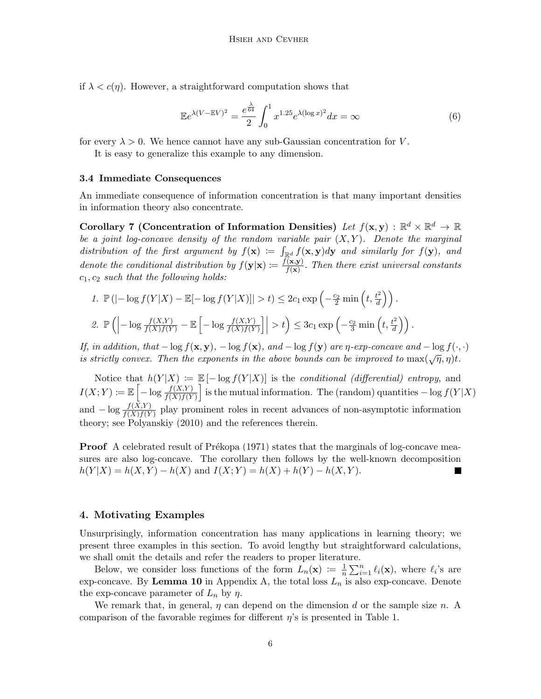if  $\lambda < c(\eta)$ . However, a straightforward computation shows that

$$
\mathbb{E}e^{\lambda(V-\mathbb{E}V)^2} = \frac{e^{\frac{\lambda}{64}}}{2} \int_0^1 x^{1.25} e^{\lambda(\log x)^2} dx = \infty \tag{6}
$$

for every  $\lambda > 0$ . We hence cannot have any sub-Gaussian concentration for V.

It is easy to generalize this example to any dimension.

#### 3.4 Immediate Consequences

An immediate consequence of information concentration is that many important densities in information theory also concentrate.

Corollary 7 (Concentration of Information Densities) Let  $f(\mathbf{x}, \mathbf{y}) : \mathbb{R}^d \times \mathbb{R}^d \to \mathbb{R}$ be a joint log-concave density of the random variable pair  $(X, Y)$ . Denote the marginal distribution of the first argument by  $f(\mathbf{x}) := \int_{\mathbb{R}^d} f(\mathbf{x}, \mathbf{y}) d\mathbf{y}$  and similarly for  $f(\mathbf{y})$ , and denote the conditional distribution by  $f(\mathbf{y}|\mathbf{x}) \coloneqq \frac{f(\mathbf{x}, \mathbf{y})}{f(\mathbf{x})}$  $\frac{f(x,y)}{f(x)}$ . Then there exist universal constants  $c_1, c_2$  such that the following holds:

1. 
$$
\mathbb{P}(|-\log f(Y|X) - \mathbb{E}[-\log f(Y|X)]| > t) \le 2c_1 \exp\left(-\frac{c_2}{2}\min\left(t, \frac{t^2}{d}\right)\right).
$$
  
\n2.  $\mathbb{P}\left(|-\log \frac{f(X,Y)}{f(X)f(Y)} - \mathbb{E}\left[-\log \frac{f(X,Y)}{f(X)f(Y)}\right]\right| > t\right) \le 3c_1 \exp\left(-\frac{c_2}{3}\min\left(t, \frac{t^2}{d}\right)\right).$ 

If, in addition, that  $-\log f(x, y)$ ,  $-\log f(x)$ , and  $-\log f(y)$  are  $\eta$ -exp-concave and  $-\log f(\cdot, \cdot)$ is strictly convex. Then the exponents in the above bounds can be improved to  $\max(\sqrt{\eta}, \eta)t$ .

Notice that  $h(Y|X) := \mathbb{E} \left[-\log f(Y|X)\right]$  is the *conditional (differential) entropy*, and  $I(X;Y) \coloneqq \mathbb{E}\left[-\log \frac{f(X,Y)}{f(X)f(Y)}\right]$  is the mutual information. The (random) quantities  $-\log f(Y|X)$ and  $-\log \frac{f(X,Y)}{f(X)f(Y)}$  play prominent roles in recent advances of non-asymptotic information theory; see [Polyanskiy](#page-10-3) [\(2010\)](#page-10-3) and the references therein.

**Proof** A celebrated result of Prékopa  $(1971)$  states that the marginals of log-concave measures are also log-concave. The corollary then follows by the well-known decomposition  $h(Y|X) = h(X, Y) - h(X)$  and  $I(X; Y) = h(X) + h(Y) - h(X, Y)$ .

# 4. Motivating Examples

Unsurprisingly, information concentration has many applications in learning theory; we present three examples in this section. To avoid lengthy but straightforward calculations, we shall omit the details and refer the readers to proper literature.

Below, we consider loss functions of the form  $L_n(\mathbf{x}) := \frac{1}{n}$  $\frac{1}{n} \sum_{i=1}^{n} \ell_i(\mathbf{x})$ , where  $\ell_i$ 's are exp-concave. By Lemma [10](#page-12-0) in Appendix A, the total loss  $L_n$  is also exp-concave. Denote the exp-concave parameter of  $L_n$  by  $\eta$ .

We remark that, in general,  $\eta$  can depend on the dimension d or the sample size n. A comparison of the favorable regimes for different  $\eta$ 's is presented in Table 1.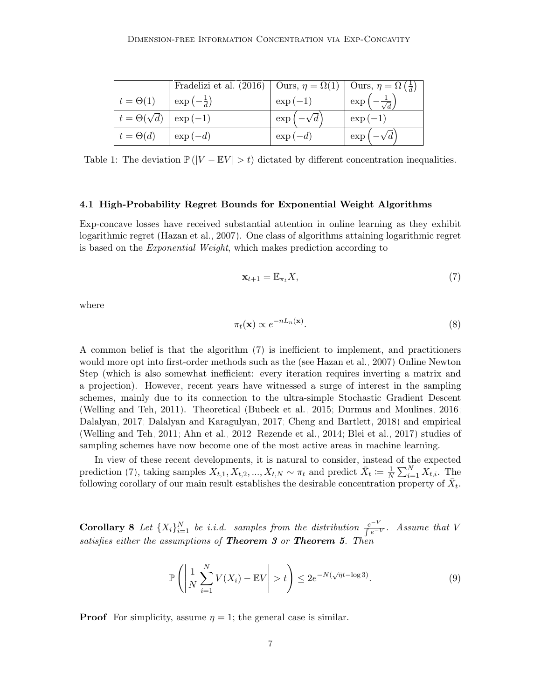|                                      | Fradelizi et al. (2016)   Ours, $\eta = \Omega(1)$   Ours, $\eta = \Omega(\frac{1}{d})$ |                   |                                        |
|--------------------------------------|-----------------------------------------------------------------------------------------|-------------------|----------------------------------------|
| $t = \Theta(1)$                      | $\exp\left(-\frac{1}{d}\right)$                                                         | $\exp(-1)$        | $\exp\left(-\frac{1}{\sqrt{d}}\right)$ |
| $t = \Theta(\sqrt{d}) \mid \exp(-1)$ |                                                                                         | $\exp(-\sqrt{d})$ | $\exp(-1)$                             |
| $t = \Theta(d)$                      | $\exp(-d)$                                                                              | $\exp(-d)$        | $\exp(-\sqrt{d})$                      |

Table 1: The deviation  $\mathbb{P}(|V - \mathbb{E}V| > t)$  dictated by different concentration inequalities.

#### 4.1 High-Probability Regret Bounds for Exponential Weight Algorithms

Exp-concave losses have received substantial attention in online learning as they exhibit logarithmic regret [\(Hazan et al., 2007\)](#page-10-5). One class of algorithms attaining logarithmic regret is based on the Exponential Weight, which makes prediction according to

<span id="page-6-0"></span>
$$
\mathbf{x}_{t+1} = \mathbb{E}_{\pi_t} X,\tag{7}
$$

where

$$
\pi_t(\mathbf{x}) \propto e^{-nL_n(\mathbf{x})}.\tag{8}
$$

A common belief is that the algorithm [\(7\)](#page-6-0) is inefficient to implement, and practitioners would more opt into first-order methods such as the (see [Hazan et al., 2007\)](#page-10-5) Online Newton Step (which is also somewhat inefficient: every iteration requires inverting a matrix and a projection). However, recent years have witnessed a surge of interest in the sampling schemes, mainly due to its connection to the ultra-simple Stochastic Gradient Descent [\(Welling and Teh, 2011\)](#page-11-0). Theoretical [\(Bubeck et al., 2015;](#page-9-6) [Durmus and Moulines, 2016;](#page-9-7) [Dalalyan, 2017;](#page-9-8) [Dalalyan and Karagulyan, 2017;](#page-9-9) [Cheng and Bartlett, 2018\)](#page-9-10) and empirical [\(Welling and Teh, 2011;](#page-11-0) [Ahn et al., 2012;](#page-8-0) [Rezende et al., 2014;](#page-10-6) [Blei et al., 2017\)](#page-9-11) studies of sampling schemes have now become one of the most active areas in machine learning.

In view of these recent developments, it is natural to consider, instead of the expected prediction [\(7\)](#page-6-0), taking samples  $X_{t,1}, X_{t,2}, ..., X_{t,N} \sim \pi_t$  and predict  $\bar{X}_t \coloneqq \frac{1}{N}$  $\frac{1}{N} \sum_{i=1}^{N} X_{t,i}$ . The following corollary of our main result establishes the desirable concentration property of  $\bar{X}_t$ .

**Corollary 8** Let  $\{X_i\}_{i=1}^N$  be i.i.d. samples from the distribution  $\frac{e^{-V}}{e^{-V}}$ . Assume that V satisfies either the assumptions of **Theorem [3](#page-3-0)** or **Theorem [5](#page-4-1)**. Then

<span id="page-6-1"></span>
$$
\mathbb{P}\left(\left|\frac{1}{N}\sum_{i=1}^{N}V(X_i) - \mathbb{E}V\right| > t\right) \le 2e^{-N(\sqrt{\eta}t - \log 3)}.
$$
\n(9)

**Proof** For simplicity, assume  $\eta = 1$ ; the general case is similar.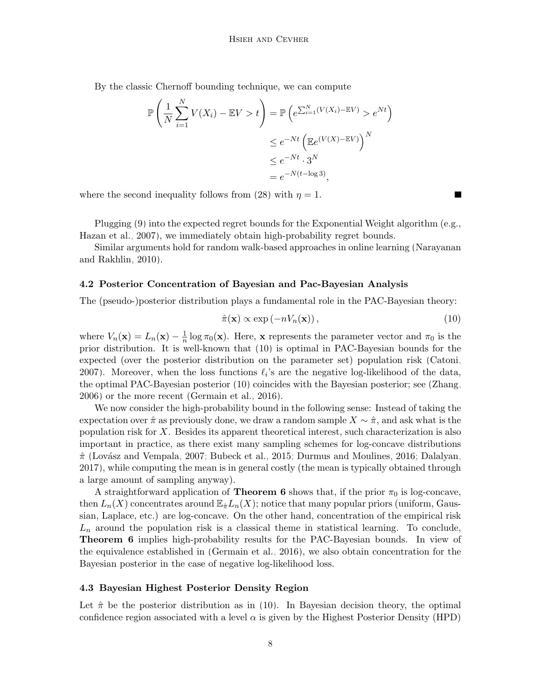By the classic Chernoff bounding technique, we can compute

$$
\mathbb{P}\left(\frac{1}{N}\sum_{i=1}^{N}V(X_i) - \mathbb{E}V > t\right) = \mathbb{P}\left(e^{\sum_{i=1}^{N}(V(X_i) - \mathbb{E}V)} > e^{Nt}\right)
$$

$$
\leq e^{-Nt}\left(\mathbb{E}e^{(V(X) - \mathbb{E}V)}\right)^{N}
$$

$$
\leq e^{-Nt} \cdot 3^{N}
$$

$$
= e^{-N(t-\log 3)},
$$

where the second inequality follows from [\(28\)](#page-14-0) with  $\eta = 1$ .

Plugging [\(9\)](#page-6-1) into the expected regret bounds for the Exponential Weight algorithm (e.g., [Hazan et al., 2007\)](#page-10-5), we immediately obtain high-probability regret bounds.

Similar arguments hold for random walk-based approaches in online learning [\(Narayanan](#page-10-7) [and Rakhlin, 2010\)](#page-10-7).

#### 4.2 Posterior Concentration of Bayesian and Pac-Bayesian Analysis

The (pseudo-)posterior distribution plays a fundamental role in the PAC-Bayesian theory:

$$
\hat{\pi}(\mathbf{x}) \propto \exp(-nV_n(\mathbf{x})),\tag{10}
$$

<span id="page-7-0"></span>Г

where  $V_n(\mathbf{x}) = L_n(\mathbf{x}) - \frac{1}{n}$  $\frac{1}{n}$  log  $\pi_0(\mathbf{x})$ . Here, **x** represents the parameter vector and  $\pi_0$  is the prior distribution. It is well-known that [\(10\)](#page-7-0) is optimal in PAC-Bayesian bounds for the expected (over the posterior distribution on the parameter set) population risk [\(Catoni,](#page-9-12) [2007\)](#page-9-12). Moreover, when the loss functions  $\ell_i$ 's are the negative log-likelihood of the data, the optimal PAC-Bayesian posterior [\(10\)](#page-7-0) coincides with the Bayesian posterior; see [\(Zhang,](#page-11-1) [2006\)](#page-11-1) or the more recent [\(Germain et al., 2016\)](#page-10-8).

We now consider the high-probability bound in the following sense: Instead of taking the expectation over  $\hat{\pi}$  as previously done, we draw a random sample  $X \sim \hat{\pi}$ , and ask what is the population risk for X. Besides its apparent theoretical interest, such characterization is also important in practice, as there exist many sampling schemes for log-concave distributions  $\hat{\pi}$  (Lovász and Vempala, 2007; [Bubeck et al., 2015;](#page-9-6) [Durmus and Moulines, 2016;](#page-9-7) [Dalalyan,](#page-9-8) [2017\)](#page-9-8), while computing the mean is in general costly (the mean is typically obtained through a large amount of sampling anyway).

A straightforward application of **Theorem [6](#page-4-0)** shows that, if the prior  $\pi_0$  is log-concave, then  $L_n(X)$  concentrates around  $\mathbb{E}_{\hat{\pi}}L_n(X)$ ; notice that many popular priors (uniform, Gaussian, Laplace, etc.) are log-concave. On the other hand, concentration of the empirical risk  $L_n$  around the population risk is a classical theme in statistical learning. To conclude, Theorem [6](#page-4-0) implies high-probability results for the PAC-Bayesian bounds. In view of the equivalence established in [\(Germain et al., 2016\)](#page-10-8), we also obtain concentration for the Bayesian posterior in the case of negative log-likelihood loss.

# 4.3 Bayesian Highest Posterior Density Region

Let  $\hat{\pi}$  be the posterior distribution as in [\(10\)](#page-7-0). In Bayesian decision theory, the optimal confidence region associated with a level  $\alpha$  is given by the Highest Posterior Density (HPD)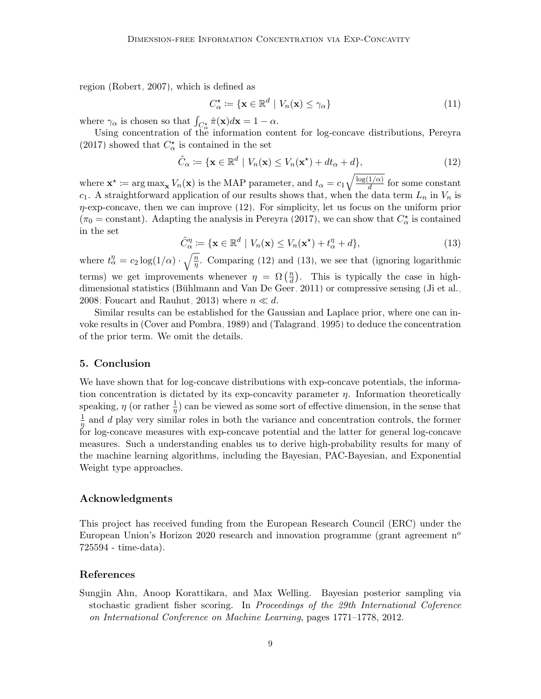region [\(Robert, 2007\)](#page-10-10), which is defined as

<span id="page-8-1"></span>
$$
C_{\alpha}^{\star} \coloneqq \{ \mathbf{x} \in \mathbb{R}^d \mid V_n(\mathbf{x}) \le \gamma_{\alpha} \}
$$
\n(11)

where  $\gamma_{\alpha}$  is chosen so that  $\int_{C_{\alpha}^{\star}} \hat{\pi}(\mathbf{x}) d\mathbf{x} = 1 - \alpha$ .

Using concentration of the information content for log-concave distributions, [Pereyra](#page-10-0) [\(2017\)](#page-10-0) showed that  $C_\alpha^\star$  is contained in the set

$$
\tilde{C}_{\alpha} := \{ \mathbf{x} \in \mathbb{R}^d \mid V_n(\mathbf{x}) \le V_n(\mathbf{x}^*) + dt_{\alpha} + d \},\tag{12}
$$

where  $\mathbf{x}^* := \arg \max_{\mathbf{x}} V_n(\mathbf{x})$  is the MAP parameter, and  $t_\alpha = c_1 \sqrt{\frac{\log(1/\alpha)}{d}}$  $\frac{1}{d}$  for some constant  $c_1$ . A straightforward application of our results shows that, when the data term  $L_n$  in  $V_n$  is  $\eta$ -exp-concave, then we can improve [\(12\)](#page-8-1). For simplicity, let us focus on the uniform prior  $(\pi_0 = \text{constant})$ . Adapting the analysis in [Pereyra](#page-10-0) [\(2017\)](#page-10-0), we can show that  $C^*_{\alpha}$  is contained in the set

$$
\tilde{C}_{\alpha}^{\eta} := \{ \mathbf{x} \in \mathbb{R}^d \mid V_n(\mathbf{x}) \le V_n(\mathbf{x}^*) + t_{\alpha}^{\eta} + d \},\tag{13}
$$

<span id="page-8-2"></span>where  $t_{\alpha}^{\eta} = c_2 \log(1/\alpha) \cdot \sqrt{\frac{n}{\eta}}$ . Comparing [\(12\)](#page-8-1) and [\(13\)](#page-8-2), we see that (ignoring logarithmic terms) we get improvements whenever  $\eta = \Omega\left(\frac{n}{d}\right)$  $\frac{n}{d}$ ). This is typically the case in high-dimensional statistics (Bühlmann and Van De Geer, 2011) or compressive sensing [\(Ji et al.,](#page-10-11) [2008;](#page-10-11) [Foucart and Rauhut, 2013\)](#page-9-14) where  $n \ll d$ .

Similar results can be established for the Gaussian and Laplace prior, where one can invoke results in [\(Cover and Pombra, 1989\)](#page-9-3) and [\(Talagrand, 1995\)](#page-11-2) to deduce the concentration of the prior term. We omit the details.

# 5. Conclusion

We have shown that for log-concave distributions with exp-concave potentials, the information concentration is dictated by its exp-concavity parameter  $\eta$ . Information theoretically speaking,  $\eta$  (or rather  $\frac{1}{\eta}$ ) can be viewed as some sort of effective dimension, in the sense that 1  $\frac{1}{\eta}$  and d play very similar roles in both the variance and concentration controls, the former for log-concave measures with exp-concave potential and the latter for general log-concave measures. Such a understanding enables us to derive high-probability results for many of the machine learning algorithms, including the Bayesian, PAC-Bayesian, and Exponential Weight type approaches.

### Acknowledgments

This project has received funding from the European Research Council (ERC) under the European Union's Horizon 2020 research and innovation programme (grant agreement  $n^o$ 725594 - time-data).

# References

<span id="page-8-0"></span>Sungjin Ahn, Anoop Korattikara, and Max Welling. Bayesian posterior sampling via stochastic gradient fisher scoring. In Proceedings of the 29th International Coference on International Conference on Machine Learning, pages 1771–1778, 2012.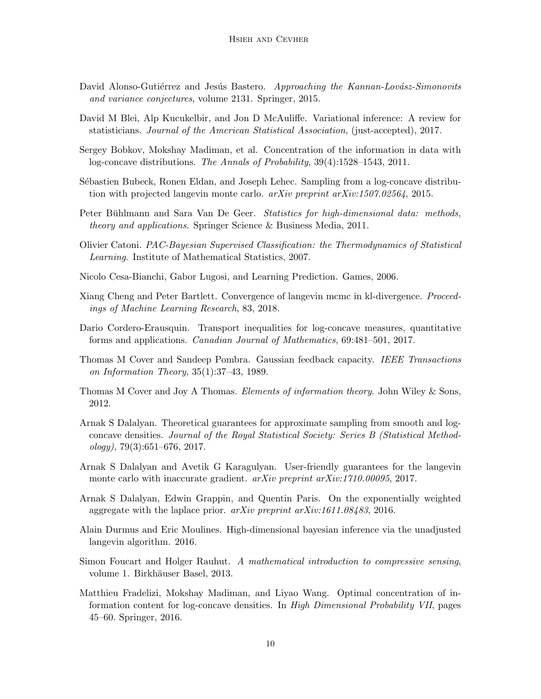- <span id="page-9-15"></span>David Alonso-Gutiérrez and Jesús Bastero. Approaching the Kannan-Lovász-Simonovits and variance conjectures, volume 2131. Springer, 2015.
- <span id="page-9-11"></span>David M Blei, Alp Kucukelbir, and Jon D McAuliffe. Variational inference: A review for statisticians. Journal of the American Statistical Association, (just-accepted), 2017.
- <span id="page-9-1"></span>Sergey Bobkov, Mokshay Madiman, et al. Concentration of the information in data with log-concave distributions. The Annals of Probability, 39(4):1528–1543, 2011.
- <span id="page-9-6"></span>Sébastien Bubeck, Ronen Eldan, and Joseph Lehec. Sampling from a log-concave distribution with projected langevin monte carlo. arXiv preprint arXiv:1507.02564, 2015.
- <span id="page-9-13"></span>Peter Bühlmann and Sara Van De Geer. Statistics for high-dimensional data: methods, theory and applications. Springer Science & Business Media, 2011.
- <span id="page-9-12"></span>Olivier Catoni. PAC-Bayesian Supervised Classification: the Thermodynamics of Statistical Learning. Institute of Mathematical Statistics, 2007.
- <span id="page-9-4"></span>Nicolo Cesa-Bianchi, Gabor Lugosi, and Learning Prediction. Games, 2006.
- <span id="page-9-10"></span>Xiang Cheng and Peter Bartlett. Convergence of langevin mcmc in kl-divergence. Proceedings of Machine Learning Research, 83, 2018.
- <span id="page-9-16"></span>Dario Cordero-Erausquin. Transport inequalities for log-concave measures, quantitative forms and applications. Canadian Journal of Mathematics, 69:481–501, 2017.
- <span id="page-9-3"></span>Thomas M Cover and Sandeep Pombra. Gaussian feedback capacity. IEEE Transactions on Information Theory, 35(1):37–43, 1989.
- <span id="page-9-5"></span>Thomas M Cover and Joy A Thomas. *Elements of information theory*. John Wiley & Sons, 2012.
- <span id="page-9-8"></span>Arnak S Dalalyan. Theoretical guarantees for approximate sampling from smooth and logconcave densities. Journal of the Royal Statistical Society: Series B (Statistical Method $ology$ , 79(3):651–676, 2017.
- <span id="page-9-9"></span>Arnak S Dalalyan and Avetik G Karagulyan. User-friendly guarantees for the langevin monte carlo with inaccurate gradient. *arXiv preprint arXiv:1710.00095*, 2017.
- <span id="page-9-0"></span>Arnak S Dalalyan, Edwin Grappin, and Quentin Paris. On the exponentially weighted aggregate with the laplace prior. arXiv preprint arXiv:1611.08483, 2016.
- <span id="page-9-7"></span>Alain Durmus and Eric Moulines. High-dimensional bayesian inference via the unadjusted langevin algorithm. 2016.
- <span id="page-9-14"></span>Simon Foucart and Holger Rauhut. A mathematical introduction to compressive sensing, volume 1. Birkhäuser Basel, 2013.
- <span id="page-9-2"></span>Matthieu Fradelizi, Mokshay Madiman, and Liyao Wang. Optimal concentration of information content for log-concave densities. In High Dimensional Probability VII, pages 45–60. Springer, 2016.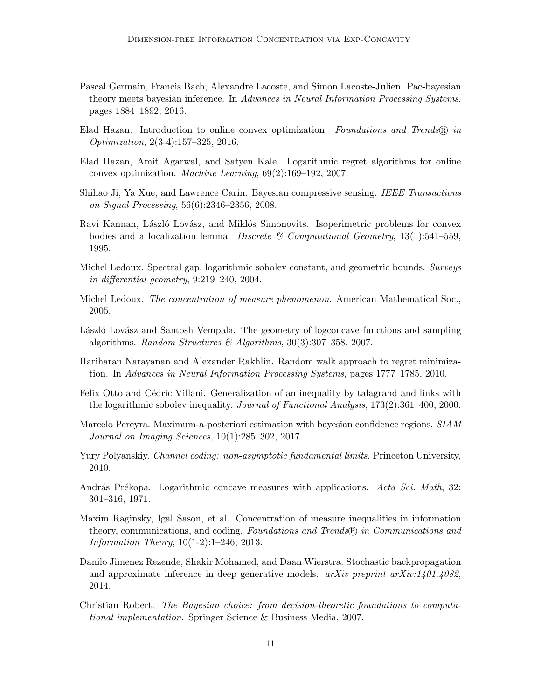- <span id="page-10-8"></span>Pascal Germain, Francis Bach, Alexandre Lacoste, and Simon Lacoste-Julien. Pac-bayesian theory meets bayesian inference. In Advances in Neural Information Processing Systems, pages 1884–1892, 2016.
- <span id="page-10-2"></span>Elad Hazan. Introduction to online convex optimization. Foundations and Trends  $\mathbb{R}$  in Optimization, 2(3-4):157–325, 2016.
- <span id="page-10-5"></span>Elad Hazan, Amit Agarwal, and Satyen Kale. Logarithmic regret algorithms for online convex optimization. Machine Learning, 69(2):169–192, 2007.
- <span id="page-10-11"></span>Shihao Ji, Ya Xue, and Lawrence Carin. Bayesian compressive sensing. IEEE Transactions on Signal Processing, 56(6):2346–2356, 2008.
- <span id="page-10-14"></span>Ravi Kannan, László Lovász, and Miklós Simonovits. Isoperimetric problems for convex bodies and a localization lemma. Discrete  $\mathscr B$  Computational Geometry, 13(1):541–559, 1995.
- <span id="page-10-12"></span>Michel Ledoux. Spectral gap, logarithmic sobolev constant, and geometric bounds. Surveys in differential geometry, 9:219–240, 2004.
- <span id="page-10-13"></span>Michel Ledoux. The concentration of measure phenomenon. American Mathematical Soc., 2005.
- <span id="page-10-9"></span>László Lovász and Santosh Vempala. The geometry of logconcave functions and sampling algorithms. Random Structures & Algorithms,  $30(3):307-358$ , 2007.
- <span id="page-10-7"></span>Hariharan Narayanan and Alexander Rakhlin. Random walk approach to regret minimization. In Advances in Neural Information Processing Systems, pages 1777–1785, 2010.
- <span id="page-10-15"></span>Felix Otto and Cédric Villani. Generalization of an inequality by talagrand and links with the logarithmic sobolev inequality. Journal of Functional Analysis, 173(2):361–400, 2000.
- <span id="page-10-0"></span>Marcelo Pereyra. Maximum-a-posteriori estimation with bayesian confidence regions. SIAM Journal on Imaging Sciences, 10(1):285–302, 2017.
- <span id="page-10-3"></span>Yury Polyanskiy. *Channel coding: non-asymptotic fundamental limits*. Princeton University, 2010.
- <span id="page-10-4"></span>András Prékopa. Logarithmic concave measures with applications. Acta Sci. Math, 32: 301–316, 1971.
- <span id="page-10-1"></span>Maxim Raginsky, Igal Sason, et al. Concentration of measure inequalities in information theory, communications, and coding. Foundations and Trends  $\mathbb{R}$  in Communications and Information Theory, 10(1-2):1–246, 2013.
- <span id="page-10-6"></span>Danilo Jimenez Rezende, Shakir Mohamed, and Daan Wierstra. Stochastic backpropagation and approximate inference in deep generative models.  $arXiv$  preprint  $arXiv:1401.4082$ , 2014.
- <span id="page-10-10"></span>Christian Robert. The Bayesian choice: from decision-theoretic foundations to computational implementation. Springer Science & Business Media, 2007.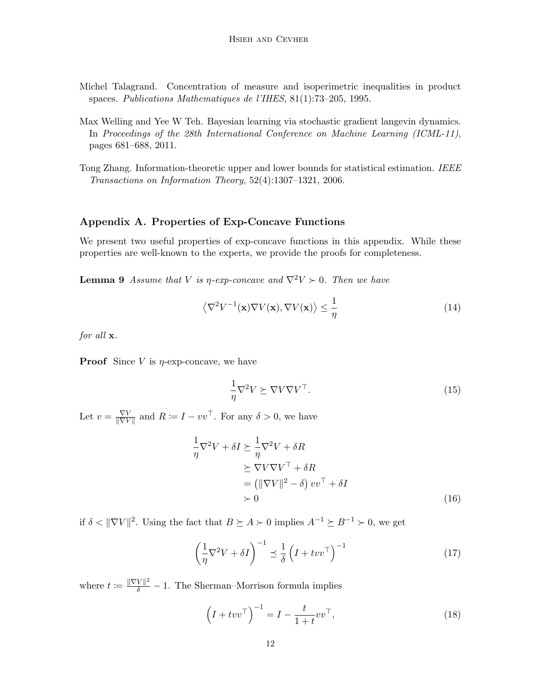- <span id="page-11-2"></span>Michel Talagrand. Concentration of measure and isoperimetric inequalities in product spaces. Publications Mathematiques de l'IHES, 81(1):73–205, 1995.
- <span id="page-11-0"></span>Max Welling and Yee W Teh. Bayesian learning via stochastic gradient langevin dynamics. In Proceedings of the 28th International Conference on Machine Learning (ICML-11), pages 681–688, 2011.
- <span id="page-11-1"></span>Tong Zhang. Information-theoretic upper and lower bounds for statistical estimation. IEEE Transactions on Information Theory, 52(4):1307–1321, 2006.

# Appendix A. Properties of Exp-Concave Functions

We present two useful properties of exp-concave functions in this appendix. While these properties are well-known to the experts, we provide the proofs for completeness.

<span id="page-11-3"></span>**Lemma 9** Assume that V is  $\eta$ -exp-concave and  $\nabla^2 V > 0$ . Then we have

$$
\left\langle \nabla^2 V^{-1}(\mathbf{x}) \nabla V(\mathbf{x}), \nabla V(\mathbf{x}) \right\rangle \le \frac{1}{\eta}
$$
\n(14)

for all  $x$ .

**Proof** Since V is  $\eta$ -exp-concave, we have

$$
\frac{1}{\eta} \nabla^2 V \succeq \nabla V \nabla V^\top. \tag{15}
$$

Let  $v = \frac{\nabla V}{\|\nabla V\|}$  $\frac{\nabla V}{\|\nabla V\|}$  and  $R \coloneqq I - vv^{\top}$ . For any  $\delta > 0$ , we have

$$
\frac{1}{\eta} \nabla^2 V + \delta I \succeq \frac{1}{\eta} \nabla^2 V + \delta R
$$
\n
$$
\succeq \nabla V \nabla V^\top + \delta R
$$
\n
$$
= \left( \|\nabla V\|^2 - \delta \right) vv^\top + \delta I
$$
\n
$$
\succ 0
$$
\n(16)

if  $\delta < ||\nabla V||^2$ . Using the fact that  $B \succeq A \succ 0$  implies  $A^{-1} \succeq B^{-1} \succ 0$ , we get

$$
\left(\frac{1}{\eta}\nabla^2 V + \delta I\right)^{-1} \preceq \frac{1}{\delta} \left(I + tvv^\top\right)^{-1} \tag{17}
$$

where  $t := \frac{\|\nabla V\|^2}{\delta} - 1$ . The Sherman–Morrison formula implies

$$
\left(I + tvv^{\top}\right)^{-1} = I - \frac{t}{1+t} vv^{\top},\tag{18}
$$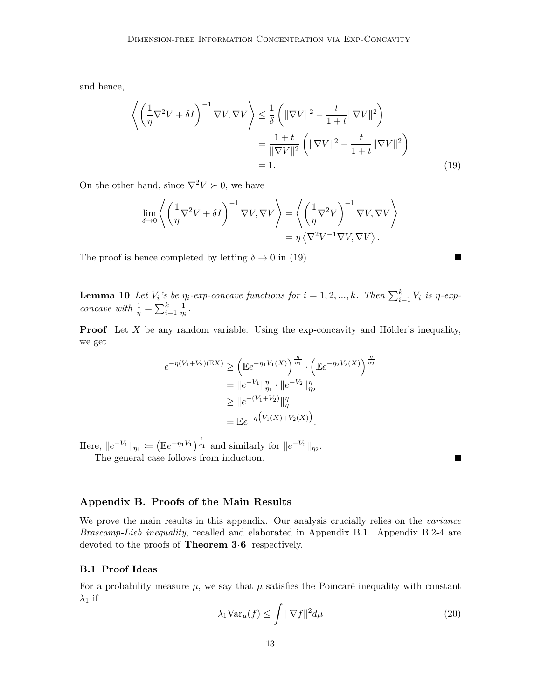and hence,

$$
\left\langle \left(\frac{1}{\eta} \nabla^2 V + \delta I\right)^{-1} \nabla V, \nabla V \right\rangle \le \frac{1}{\delta} \left( \|\nabla V\|^2 - \frac{t}{1+t} \|\nabla V\|^2 \right) \n= \frac{1+t}{\|\nabla V\|^2} \left( \|\nabla V\|^2 - \frac{t}{1+t} \|\nabla V\|^2 \right) \n= 1.
$$
\n(19)

<span id="page-12-1"></span> $\blacksquare$ 

П

On the other hand, since  $\nabla^2 V \succ 0$ , we have

$$
\lim_{\delta \to 0} \left\langle \left( \frac{1}{\eta} \nabla^2 V + \delta I \right)^{-1} \nabla V, \nabla V \right\rangle = \left\langle \left( \frac{1}{\eta} \nabla^2 V \right)^{-1} \nabla V, \nabla V \right\rangle
$$

$$
= \eta \left\langle \nabla^2 V^{-1} \nabla V, \nabla V \right\rangle.
$$

The proof is hence completed by letting  $\delta \to 0$  in [\(19\)](#page-12-1).

<span id="page-12-0"></span>**Lemma 10** Let  $V_i$ 's be  $\eta_i$ -exp-concave functions for  $i = 1, 2, ..., k$ . Then  $\sum_{i=1}^k V_i$  is  $\eta$ -expconcave with  $\frac{1}{\eta} = \sum_{i=1}^{k} \frac{1}{\eta_i}$  $\frac{1}{\eta_i}$  .

**Proof** Let  $X$  be any random variable. Using the exp-concavity and Hölder's inequality, we get

$$
e^{-\eta(V_1+V_2)(\mathbb{E}X)} \ge \left(\mathbb{E}e^{-\eta_1 V_1(X)}\right)^{\frac{\eta}{\eta_1}} \cdot \left(\mathbb{E}e^{-\eta_2 V_2(X)}\right)^{\frac{\eta}{\eta_2}}
$$
  
=  $||e^{-V_1}||_{\eta_1}^{\eta} \cdot ||e^{-V_2}||_{\eta_2}^{\eta}$   
 $\ge ||e^{-(V_1+V_2)}||_{\eta}^{\eta}$   
=  $\mathbb{E}e^{-\eta(V_1(X)+V_2(X))}$ .

Here,  $||e^{-V_1}||_{\eta_1} := (\mathbb{E}e^{-\eta_1 V_1})^{\frac{1}{\eta_1}}$  and similarly for  $||e^{-V_2}||_{\eta_2}$ .

The general case follows from induction.

Appendix B. Proofs of the Main Results

We prove the main results in this appendix. Our analysis crucially relies on the *variance* Brascamp-Lieb inequality, recalled and elaborated in Appendix [B.](#page-1-1)1. Appendix [B.](#page-1-1)2-4 are devoted to the proofs of Theorem [3](#page-3-0)[-6](#page-4-0), respectively.

# B.1 Proof Ideas

<span id="page-12-2"></span>For a probability measure  $\mu$ , we say that  $\mu$  satisfies the Poincaré inequality with constant  $\lambda_1$  if

$$
\lambda_1 \text{Var}_{\mu}(f) \le \int \|\nabla f\|^2 d\mu \tag{20}
$$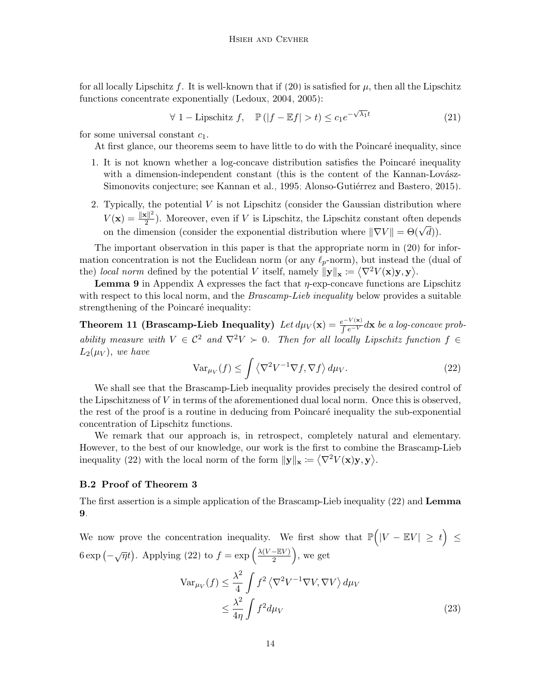for all locally Lipschitz f. It is well-known that if  $(20)$  is satisfied for  $\mu$ , then all the Lipschitz functions concentrate exponentially [\(Ledoux, 2004,](#page-10-12) [2005\)](#page-10-13):

> $\forall 1$  – Lipschitz f,  $\mathbb{P}(|f - \mathbb{E}f| > t) \leq c_1 e^{-\sqrt{\lambda_1}t}$ (21)

for some universal constant  $c_1$ .

At first glance, our theorems seem to have little to do with the Poincaré inequality, since

- 1. It is not known whether a log-concave distribution satisfies the Poincaré inequality with a dimension-independent constant (this is the content of the Kannan-Lovász-Simonovits conjecture; see [Kannan et al., 1995;](#page-10-14) Alonso-Gutiérrez and Bastero, 2015).
- 2. Typically, the potential  $V$  is not Lipschitz (consider the Gaussian distribution where  $V(\mathbf{x}) = \frac{\|\mathbf{x}\|^2}{2}$  $\frac{2}{2}$ ). Moreover, even if V is Lipschitz, the Lipschitz constant often depends on the dimension (consider the exponential distribution where  $\|\nabla V\| = \Theta(\sqrt{d})$ ).

The important observation in this paper is that the appropriate norm in [\(20\)](#page-12-2) for information concentration is not the Euclidean norm (or any  $\ell_p$ -norm), but instead the (dual of the) local norm defined by the potential V itself, namely  $\|\mathbf{y}\|_{\mathbf{x}} \coloneqq \langle \nabla^2 V(\mathbf{x})\mathbf{y}, \mathbf{y} \rangle$ .

**Lemma [9](#page-11-3)** in Appendix A expresses the fact that  $\eta$ -exp-concave functions are Lipschitz with respect to this local norm, and the *Brascamp-Lieb inequality* below provides a suitable strengthening of the Poincaré inequality:

Theorem 11 (Brascamp-Lieb Inequality)  $\text{Let } d\mu_V(\mathbf{x}) = \frac{e^{-V(\mathbf{x})}}{ \int e^{-V(\mathbf{x})}} d\mathbf{x}$  be a log-concave probability measure with  $V \in C^2$  and  $\nabla^2 V \succ 0$ . Then for all locally Lipschitz function  $f \in$  $L_2(\mu_V)$ , we have

<span id="page-13-0"></span>
$$
\text{Var}_{\mu_V}(f) \le \int \left\langle \nabla^2 V^{-1} \nabla f, \nabla f \right\rangle d\mu_V. \tag{22}
$$

We shall see that the Brascamp-Lieb inequality provides precisely the desired control of the Lipschitzness of V in terms of the aforementioned dual local norm. Once this is observed, the rest of the proof is a routine in deducing from Poincaré inequality the sub-exponential concentration of Lipschitz functions.

We remark that our approach is, in retrospect, completely natural and elementary. However, to the best of our knowledge, our work is the first to combine the Brascamp-Lieb inequality [\(22\)](#page-13-0) with the local norm of the form  $\|\mathbf{y}\|_{\mathbf{x}} \coloneqq \langle \nabla^2 V(\mathbf{x})\mathbf{y}, \mathbf{y} \rangle$ .

### B.2 Proof of Theorem [3](#page-3-0)

The first assertion is a simple application of the Brascamp-Lieb inequality [\(22\)](#page-13-0) and Lemma [9](#page-11-3).

We now prove the concentration inequality. We first show that  $\mathbb{P}(|V - \mathbb{E}V| \geq t) \leq$  $6 \exp(-\sqrt{\eta}t)$ . Applying [\(22\)](#page-13-0) to  $f = \exp\left(\frac{\lambda(V - \mathbb{E}V)}{2}\right)$  $\frac{-\mathbb{E}V}{2}\Big),$  we get

<span id="page-13-1"></span>
$$
\operatorname{Var}_{\mu_V}(f) \le \frac{\lambda^2}{4} \int f^2 \left\langle \nabla^2 V^{-1} \nabla V, \nabla V \right\rangle d\mu_V
$$
  

$$
\le \frac{\lambda^2}{4\eta} \int f^2 d\mu_V
$$
 (23)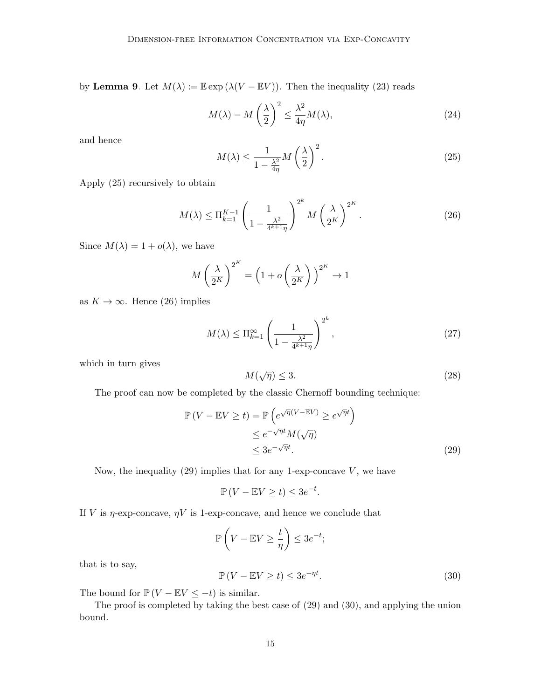by Lemma [9](#page-11-3). Let  $M(\lambda) := \mathbb{E} \exp (\lambda(V - \mathbb{E} V))$ . Then the inequality [\(23\)](#page-13-1) reads

$$
M(\lambda) - M\left(\frac{\lambda}{2}\right)^2 \le \frac{\lambda^2}{4\eta}M(\lambda),\tag{24}
$$

<span id="page-14-1"></span>and hence

<span id="page-14-2"></span>
$$
M(\lambda) \le \frac{1}{1 - \frac{\lambda^2}{4\eta}} M\left(\frac{\lambda}{2}\right)^2.
$$
 (25)

Apply [\(25\)](#page-14-1) recursively to obtain

$$
M(\lambda) \le \Pi_{k=1}^{K-1} \left(\frac{1}{1 - \frac{\lambda^2}{4^{k+1}\eta}}\right)^{2^k} M\left(\frac{\lambda}{2^K}\right)^{2^K}.
$$
 (26)

Since  $M(\lambda) = 1 + o(\lambda)$ , we have

$$
M\left(\frac{\lambda}{2^K}\right)^{2^K} = \left(1 + o\left(\frac{\lambda}{2^K}\right)\right)^{2^K} \to 1
$$

as  $K \to \infty$ . Hence [\(26\)](#page-14-2) implies

$$
M(\lambda) \le \Pi_{k=1}^{\infty} \left( \frac{1}{1 - \frac{\lambda^2}{4^{k+1}\eta}} \right)^{2^k},\tag{27}
$$

which in turn gives

<span id="page-14-3"></span>
$$
M(\sqrt{\eta}) \le 3. \tag{28}
$$

The proof can now be completed by the classic Chernoff bounding technique:

<span id="page-14-0"></span>
$$
\mathbb{P}(V - \mathbb{E}V \ge t) = \mathbb{P}\left(e^{\sqrt{\eta}(V - \mathbb{E}V)} \ge e^{\sqrt{\eta}t}\right)
$$
  
\n
$$
\le e^{-\sqrt{\eta}t}M(\sqrt{\eta})
$$
  
\n
$$
\le 3e^{-\sqrt{\eta}t}.
$$
\n(29)

Now, the inequality  $(29)$  implies that for any 1-exp-concave  $V$ , we have

<span id="page-14-4"></span>
$$
\mathbb{P}\left(V - \mathbb{E}V \ge t\right) \le 3e^{-t}.
$$

If V is  $\eta$ -exp-concave,  $\eta V$  is 1-exp-concave, and hence we conclude that

$$
\mathbb{P}\left(V - \mathbb{E}V \ge \frac{t}{\eta}\right) \le 3e^{-t};
$$
  

$$
\mathbb{P}\left(V - \mathbb{E}V \ge t\right) \le 3e^{-\eta t}.
$$
 (30)

that is to say,

The bound for 
$$
\mathbb{P}(V - \mathbb{E}V \le -t)
$$
 is similar.

The proof is completed by taking the best case of [\(29\)](#page-14-3) and [\(30\)](#page-14-4), and applying the union bound.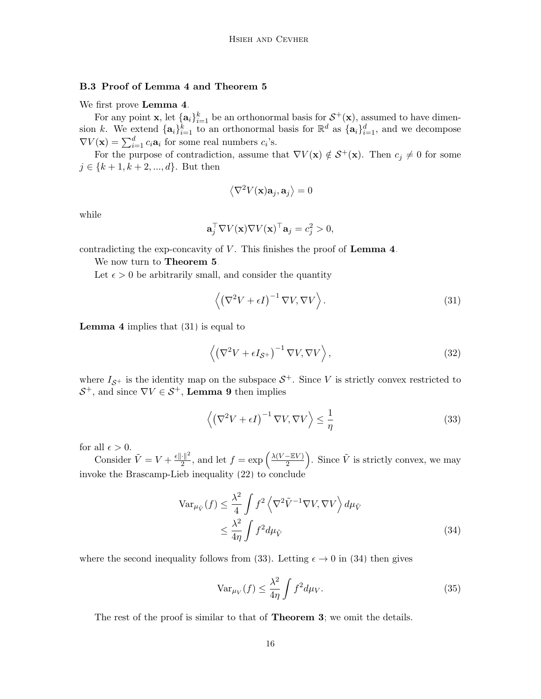# B.3 Proof of Lemma [4](#page-3-1) and Theorem [5](#page-4-1)

We first prove **Lemma [4](#page-3-1).** 

For any point **x**, let  $\{a_i\}_{i=1}^k$  be an orthonormal basis for  $S^+(\mathbf{x})$ , assumed to have dimension k. We extend  $\{a_i\}_{i=1}^k$  to an orthonormal basis for  $\mathbb{R}^d$  as  $\{a_i\}_{i=1}^d$ , and we decompose  $\nabla V(\mathbf{x}) = \sum_{i=1}^{d} c_i \mathbf{a}_i$  for some real numbers  $c_i$ 's.

For the purpose of contradiction, assume that  $\nabla V(\mathbf{x}) \notin \mathcal{S}^+(\mathbf{x})$ . Then  $c_j \neq 0$  for some  $j \in \{k+1, k+2, ..., d\}$ . But then

<span id="page-15-0"></span>
$$
\left\langle \nabla^2 V(\mathbf{x}) \mathbf{a}_j, \mathbf{a}_j \right\rangle = 0
$$

while

$$
\mathbf{a}_j^{\top} \nabla V(\mathbf{x}) \nabla V(\mathbf{x})^{\top} \mathbf{a}_j = c_j^2 > 0,
$$

contradicting the exp-concavity of  $V$ . This finishes the proof of **Lemma [4](#page-3-1).** 

We now turn to Theorem [5](#page-4-1).

Let  $\epsilon > 0$  be arbitrarily small, and consider the quantity

$$
\left\langle \left(\nabla^2 V + \epsilon I\right)^{-1} \nabla V, \nabla V \right\rangle.
$$
 (31)

**Lemma [4](#page-3-1)** implies that  $(31)$  is equal to

$$
\left\langle \left(\nabla^2 V + \epsilon I_{\mathcal{S}^+}\right)^{-1} \nabla V, \nabla V \right\rangle, \tag{32}
$$

where  $I_{\mathcal{S}^+}$  is the identity map on the subspace  $\mathcal{S}^+$ . Since V is strictly convex restricted to  $S^+$ , and since  $\nabla V \in S^+$ , **Lemma [9](#page-11-3)** then implies

<span id="page-15-1"></span>
$$
\left\langle \left(\nabla^2 V + \epsilon I\right)^{-1} \nabla V, \nabla V \right\rangle \le \frac{1}{\eta}
$$
\n(33)

for all  $\epsilon > 0$ .

Consider  $\tilde{V} = V + \frac{\epsilon ||\cdot||^2}{2}$  $\frac{1}{2}$ <sup>2</sup>, and let  $f = \exp\left(\frac{\lambda(V - \mathbb{E}V)}{2}\right)$  $\left(\frac{-\mathbb{E}V}{2}\right)$ . Since  $\tilde{V}$  is strictly convex, we may invoke the Brascamp-Lieb inequality [\(22\)](#page-13-0) to conclude

$$
\operatorname{Var}_{\mu_{\tilde{V}}}(f) \le \frac{\lambda^2}{4} \int f^2 \left\langle \nabla^2 \tilde{V}^{-1} \nabla V, \nabla V \right\rangle d\mu_{\tilde{V}}
$$
  

$$
\le \frac{\lambda^2}{4\eta} \int f^2 d\mu_{\tilde{V}}
$$
 (34)

where the second inequality follows from [\(33\)](#page-15-1). Letting  $\epsilon \to 0$  in [\(34\)](#page-15-2) then gives

<span id="page-15-2"></span>
$$
\text{Var}_{\mu_V}(f) \le \frac{\lambda^2}{4\eta} \int f^2 d\mu_V. \tag{35}
$$

The rest of the proof is similar to that of **Theorem [3](#page-3-0)**; we omit the details.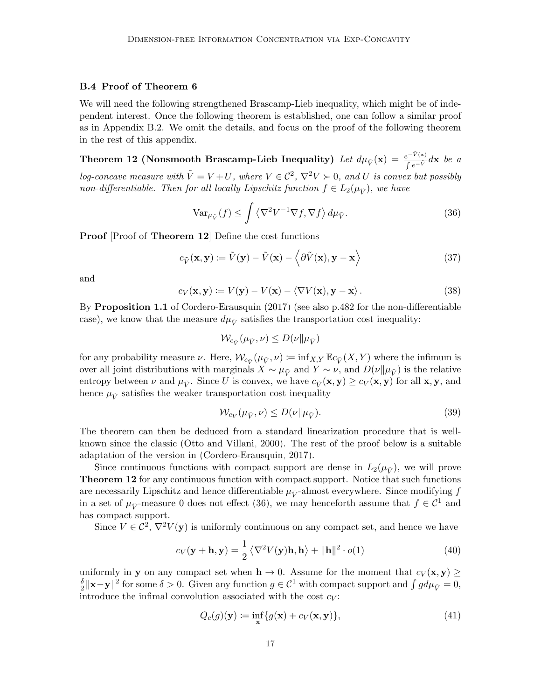# B.4 Proof of Theorem [6](#page-4-0)

We will need the following strengthened Brascamp-Lieb inequality, which might be of independent interest. Once the following theorem is established, one can follow a similar proof as in Appendix [B.](#page-1-1)2. We omit the details, and focus on the proof of the following theorem in the rest of this appendix.

Theorem 12 (Nonsmooth Brascamp-Lieb Inequality) Let  $d\mu_{\tilde{V}}(\mathbf{x}) = \frac{e^{-\tilde{V}(\mathbf{x})}}{\int e^{-\tilde{V}} d\mathbf{x}}$  be a log-concave measure with  $\tilde{V} = V + U$ , where  $V \in \mathcal{C}^2$ ,  $\nabla^2 V > 0$ , and U is convex but possibly non-differentiable. Then for all locally Lipschitz function  $f \in L_2(\mu_{\tilde{V}})$ , we have

<span id="page-16-1"></span><span id="page-16-0"></span>
$$
\text{Var}_{\mu_{\tilde{V}}}(f) \le \int \left\langle \nabla^2 V^{-1} \nabla f, \nabla f \right\rangle d\mu_{\tilde{V}}.\tag{36}
$$

**Proof** Proof of **Theorem [12](#page-16-0)** Define the cost functions

$$
c_{\tilde{V}}(\mathbf{x}, \mathbf{y}) \coloneqq \tilde{V}(\mathbf{y}) - \tilde{V}(\mathbf{x}) - \langle \partial \tilde{V}(\mathbf{x}), \mathbf{y} - \mathbf{x} \rangle \tag{37}
$$

and

$$
c_V(\mathbf{x}, \mathbf{y}) \coloneqq V(\mathbf{y}) - V(\mathbf{x}) - \langle \nabla V(\mathbf{x}), \mathbf{y} - \mathbf{x} \rangle. \tag{38}
$$

By Proposition 1.1 of [Cordero-Erausquin](#page-9-16) [\(2017\)](#page-9-16) (see also p.482 for the non-differentiable case), we know that the measure  $d\mu_{\tilde{V}}$  satisfies the transportation cost inequality:

<span id="page-16-2"></span>
$$
\mathcal{W}_{c_{\tilde{V}}}(\mu_{\tilde{V}}, \nu) \le D(\nu \| \mu_{\tilde{V}})
$$

for any probability measure  $\nu$ . Here,  $\mathcal{W}_{c_{\tilde{V}}}(\mu_{\tilde{V}}, \nu) := \inf_{X,Y} \mathbb{E} c_{\tilde{V}}(X,Y)$  where the infimum is over all joint distributions with marginals  $X \sim \mu_{\tilde{V}}$  and  $Y \sim \nu$ , and  $D(\nu \| \mu_{\tilde{V}})$  is the relative entropy between  $\nu$  and  $\mu_{\tilde{V}}$ . Since U is convex, we have  $c_{\tilde{V}}(\mathbf{x}, \mathbf{y}) \geq c_V(\mathbf{x}, \mathbf{y})$  for all  $\mathbf{x}, \mathbf{y}$ , and hence  $\mu_{\tilde{V}}$  satisfies the weaker transportation cost inequality

$$
\mathcal{W}_{c_V}(\mu_{\tilde{V}}, \nu) \le D(\nu \| \mu_{\tilde{V}}). \tag{39}
$$

The theorem can then be deduced from a standard linearization procedure that is wellknown since the classic [\(Otto and Villani, 2000\)](#page-10-15). The rest of the proof below is a suitable adaptation of the version in [\(Cordero-Erausquin, 2017\)](#page-9-16).

Since continuous functions with compact support are dense in  $L_2(\mu_V^{\varepsilon})$ , we will prove **Theorem [12](#page-16-0)** for any continuous function with compact support. Notice that such functions are necessarily Lipschitz and hence differentiable  $\mu_{\tilde{V}}$ -almost everywhere. Since modifying f in a set of  $\mu_{\tilde{V}}$ -measure 0 does not effect [\(36\)](#page-16-1), we may henceforth assume that  $f \in \mathcal{C}^1$  and has compact support.

Since  $V \in \mathcal{C}^2$ ,  $\nabla^2 V(\mathbf{y})$  is uniformly continuous on any compact set, and hence we have

$$
c_V(\mathbf{y} + \mathbf{h}, \mathbf{y}) = \frac{1}{2} \langle \nabla^2 V(\mathbf{y}) \mathbf{h}, \mathbf{h} \rangle + ||\mathbf{h}||^2 \cdot o(1)
$$
 (40)

uniformly in **y** on any compact set when  $h \to 0$ . Assume for the moment that  $c_V(x, y) \ge$ δ  $\frac{\delta}{2} \|\mathbf{x} - \mathbf{y}\|^2$  for some  $\delta > 0$ . Given any function  $g \in \mathcal{C}^1$  with compact support and  $\int g d\mu_{\tilde{V}} = 0$ , introduce the infimal convolution associated with the cost  $c_V$ :

$$
Q_c(g)(\mathbf{y}) := \inf_{\mathbf{x}} \{ g(\mathbf{x}) + c_V(\mathbf{x}, \mathbf{y}) \},\tag{41}
$$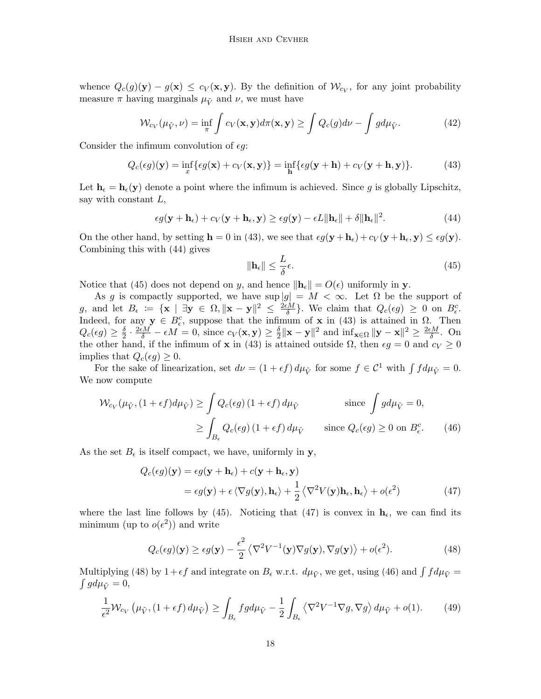whence  $Q_c(g)(\mathbf{y}) - g(\mathbf{x}) \leq c_V(\mathbf{x}, \mathbf{y})$ . By the definition of  $\mathcal{W}_{c_V}$ , for any joint probability measure  $\pi$  having marginals  $\mu_{\tilde{V}}$  and  $\nu$ , we must have

<span id="page-17-0"></span>
$$
\mathcal{W}_{c_V}(\mu_{\tilde{V}}, \nu) = \inf_{\pi} \int c_V(\mathbf{x}, \mathbf{y}) d\pi(\mathbf{x}, \mathbf{y}) \ge \int Q_c(g) d\nu - \int g d\mu_{\tilde{V}}.
$$
 (42)

Consider the infimum convolution of  $\epsilon q$ :

$$
Q_c(\epsilon g)(\mathbf{y}) = \inf_x \{ \epsilon g(\mathbf{x}) + c_V(\mathbf{x}, \mathbf{y}) \} = \inf_{\mathbf{h}} \{ \epsilon g(\mathbf{y} + \mathbf{h}) + c_V(\mathbf{y} + \mathbf{h}, \mathbf{y}) \}.
$$
 (43)

Let  $h_{\epsilon} = h_{\epsilon}(y)$  denote a point where the infimum is achieved. Since g is globally Lipschitz, say with constant  $L$ ,

$$
\epsilon g(\mathbf{y} + \mathbf{h}_{\epsilon}) + c_V(\mathbf{y} + \mathbf{h}_{\epsilon}, \mathbf{y}) \ge \epsilon g(\mathbf{y}) - \epsilon L \|\mathbf{h}_{\epsilon}\| + \delta \|\mathbf{h}_{\epsilon}\|^2.
$$
 (44)

On the other hand, by setting  $\mathbf{h} = 0$  in [\(43\)](#page-17-0), we see that  $\epsilon g(\mathbf{y} + \mathbf{h}_{\epsilon}) + c_V(\mathbf{y} + \mathbf{h}_{\epsilon}, \mathbf{y}) \leq \epsilon g(\mathbf{y})$ . Combining this with [\(44\)](#page-17-1) gives

<span id="page-17-5"></span><span id="page-17-3"></span><span id="page-17-2"></span><span id="page-17-1"></span>
$$
\|\mathbf{h}_{\epsilon}\| \le \frac{L}{\delta} \epsilon. \tag{45}
$$

Notice that [\(45\)](#page-17-2) does not depend on y, and hence  $\|\mathbf{h}_{\epsilon}\| = O(\epsilon)$  uniformly in y.

As g is compactly supported, we have sup  $|g| = M < \infty$ . Let  $\Omega$  be the support of g, and let  $B_{\epsilon} := \{ \mathbf{x} \mid \exists \mathbf{y} \in \Omega, ||\mathbf{x} - \mathbf{y}||^2 \le \frac{2\epsilon M}{\delta}$  $\frac{1}{\delta}$ . We claim that  $Q_c(\epsilon g) \geq 0$  on  $B_{\epsilon}^c$ . Indeed, for any  $y \in B_{\epsilon}^{c}$ , suppose that the infimum of x in [\(43\)](#page-17-0) is attained in  $\Omega$ . Then  $Q_c(\epsilon g)\geq \frac{\delta}{2}$  $\frac{\delta}{2} \cdot \frac{2\epsilon M}{\delta} - \epsilon M = 0$ , since  $c_V(\mathbf{x}, \mathbf{y}) \ge \frac{\delta}{2}$  $\frac{\delta}{2} \|\mathbf{x} - \mathbf{y}\|^2$  and  $\inf_{\mathbf{x} \in \Omega} \|\mathbf{y} - \mathbf{x}\|^2 \ge \frac{2\epsilon M}{\delta}$  $\frac{\epsilon M}{\delta}$ . On the other hand, if the infimum of **x** in [\(43\)](#page-17-0) is attained outside  $\Omega$ , then  $\epsilon g = 0$  and  $c_V \ge 0$ implies that  $Q_c(\epsilon q) \geq 0$ .

For the sake of linearization, set  $d\nu = (1 + \epsilon f) d\mu_{\tilde{V}}$  for some  $f \in C^1$  with  $\int f d\mu_{\tilde{V}} = 0$ . We now compute

$$
\mathcal{W}_{c_V}(\mu_{\tilde{V}}, (1+\epsilon f)d\mu_{\tilde{V}}) \ge \int Q_c(\epsilon g) (1+\epsilon f) d\mu_{\tilde{V}} \qquad \text{since } \int g d\mu_{\tilde{V}} = 0,
$$
  

$$
\ge \int_{B_{\epsilon}} Q_c(\epsilon g) (1+\epsilon f) d\mu_{\tilde{V}} \qquad \text{since } Q_c(\epsilon g) \ge 0 \text{ on } B_{\epsilon}^c. \tag{46}
$$

As the set  $B_{\epsilon}$  is itself compact, we have, uniformly in y,

$$
Q_c(\epsilon g)(\mathbf{y}) = \epsilon g(\mathbf{y} + \mathbf{h}_{\epsilon}) + c(\mathbf{y} + \mathbf{h}_{\epsilon}, \mathbf{y})
$$
  
=  $\epsilon g(\mathbf{y}) + \epsilon \langle \nabla g(\mathbf{y}), \mathbf{h}_{\epsilon} \rangle + \frac{1}{2} \langle \nabla^2 V(\mathbf{y}) \mathbf{h}_{\epsilon}, \mathbf{h}_{\epsilon} \rangle + o(\epsilon^2)$  (47)

where the last line follows by [\(45\)](#page-17-2). Noticing that [\(47\)](#page-17-3) is convex in  $\mathbf{h}_{\epsilon}$ , we can find its minimum (up to  $o(\epsilon^2)$ ) and write

<span id="page-17-6"></span><span id="page-17-4"></span>
$$
Q_c(\epsilon g)(\mathbf{y}) \ge \epsilon g(\mathbf{y}) - \frac{\epsilon^2}{2} \left\langle \nabla^2 V^{-1}(\mathbf{y}) \nabla g(\mathbf{y}), \nabla g(\mathbf{y}) \right\rangle + o(\epsilon^2). \tag{48}
$$

Multiplying [\(48\)](#page-17-4) by  $1 + \epsilon f$  and integrate on  $B_{\epsilon}$  w.r.t.  $d\mu_{\tilde{V}}$ , we get, using [\(46\)](#page-17-5) and  $\int f d\mu_{\tilde{V}} = \int g d\mu_{\tilde{V}} = 0$ ,  $\int g d\mu_{\tilde{V}} = 0,$ 

$$
\frac{1}{\epsilon^2} \mathcal{W}_{c_V} \left( \mu_{\tilde{V}}, (1 + \epsilon f) d\mu_{\tilde{V}} \right) \ge \int_{B_{\epsilon}} f g d\mu_{\tilde{V}} - \frac{1}{2} \int_{B_{\epsilon}} \left\langle \nabla^2 V^{-1} \nabla g, \nabla g \right\rangle d\mu_{\tilde{V}} + o(1). \tag{49}
$$